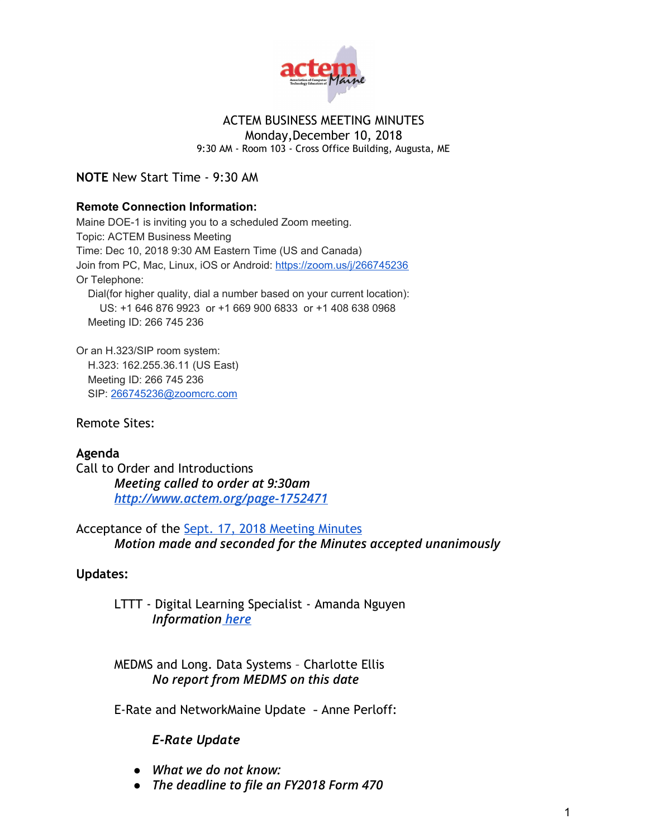

# ACTEM BUSINESS MEETING MINUTES

Monday,December 10, 2018 9:30 AM - Room 103 - Cross Office Building, Augusta, ME

**NOTE** New Start Time - 9:30 AM

#### **Remote Connection Information:**

Maine DOE-1 is inviting you to a scheduled Zoom meeting. Topic: ACTEM Business Meeting Time: Dec 10, 2018 9:30 AM Eastern Time (US and Canada) Join from PC, Mac, Linux, iOS or Android: <https://zoom.us/j/266745236> Or Telephone: Dial(for higher quality, dial a number based on your current location): US: +1 646 876 9923 or +1 669 900 6833 or +1 408 638 0968 Meeting ID: 266 745 236

Or an H.323/SIP room system: H.323: 162.255.36.11 (US East) Meeting ID: 266 745 236 SIP: [266745236@zoomcrc.com](mailto:266745236@zoomcrc.com)

Remote Sites:

## **Agenda**

Call to Order and Introductions *Meeting called to order at 9:30am <http://www.actem.org/page-1752471>*

Acceptance of the [Sept. 17, 2018 Meeting Minutes](http://www.actem.org/resources/Documents/MInutes_9-17-18_Business_Meeting.pdf) *Motion made and seconded for the Minutes accepted unanimously*

#### **Updates:**

LTTT - Digital Learning Specialist - Amanda Nguyen *Information [here](https://drive.google.com/open?id=0ByjxIR_oTVsIM2lIcWVWODJkNElHb2dURjMtYTY5OFozdEtR)*

MEDMS and Long. Data Systems – Charlotte Ellis *No report from MEDMS on this date*

E-Rate and NetworkMaine Update - Anne Perloff:

## *E-Rate Update*

- *● What we do not know:*
- *● The deadline to file an FY2018 Form 470*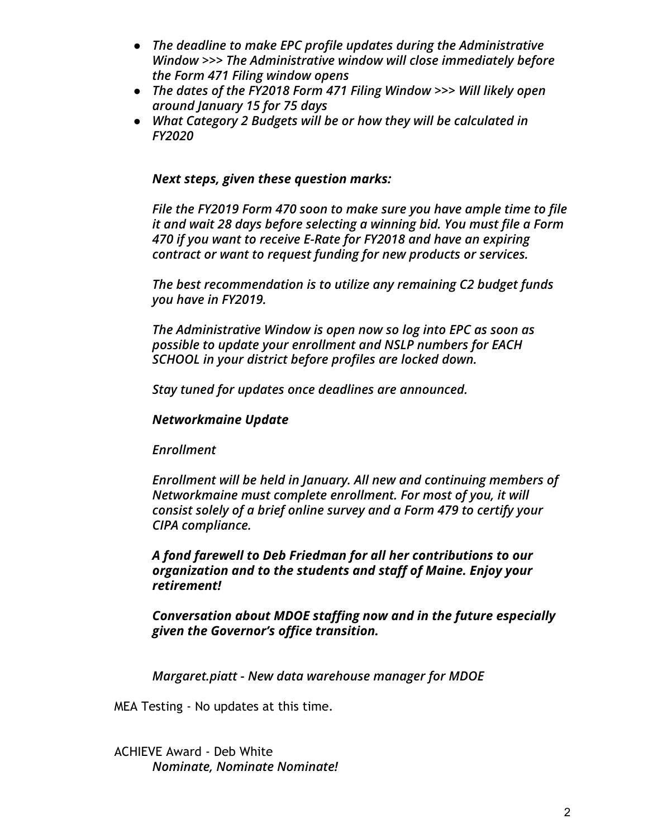- *● The deadline to make EPC profile updates during the Administrative Window >>> The Administrative window will close immediately before the Form 471 Filing window opens*
- *● The dates of the FY2018 Form 471 Filing Window >>> Will likely open around January 15 for 75 days*
- *● What Category 2 Budgets will be or how they will be calculated in FY2020*

## *Next steps, given these question marks:*

*File the FY2019 Form 470 soon to make sure you have ample time to file it and wait 28 days before selecting a winning bid. You must file a Form 470 if you want to receive E-Rate for FY2018 and have an expiring contract or want to request funding for new products or services.*

*The best recommendation is to utilize any remaining C2 budget funds you have in FY2019.*

*The Administrative Window is open now so log into EPC as soon as possible to update your enrollment and NSLP numbers for EACH SCHOOL in your district before profiles are locked down.*

*Stay tuned for updates once deadlines are announced.*

# *Networkmaine Update*

*Enrollment*

*Enrollment will be held in January. All new and continuing members of Networkmaine must complete enrollment. For most of you, it will consist solely of a brief online survey and a Form 479 to certify your CIPA compliance.*

*A fond farewell to Deb Friedman for all her contributions to our organization and to the students and staff of Maine. Enjoy your retirement!*

*Conversation about MDOE staffing now and in the future especially given the Governor's office transition.*

*Margaret.piatt - New data warehouse manager for MDOE*

MEA Testing - No updates at this time.

ACHIEVE Award - Deb White *Nominate, Nominate Nominate!*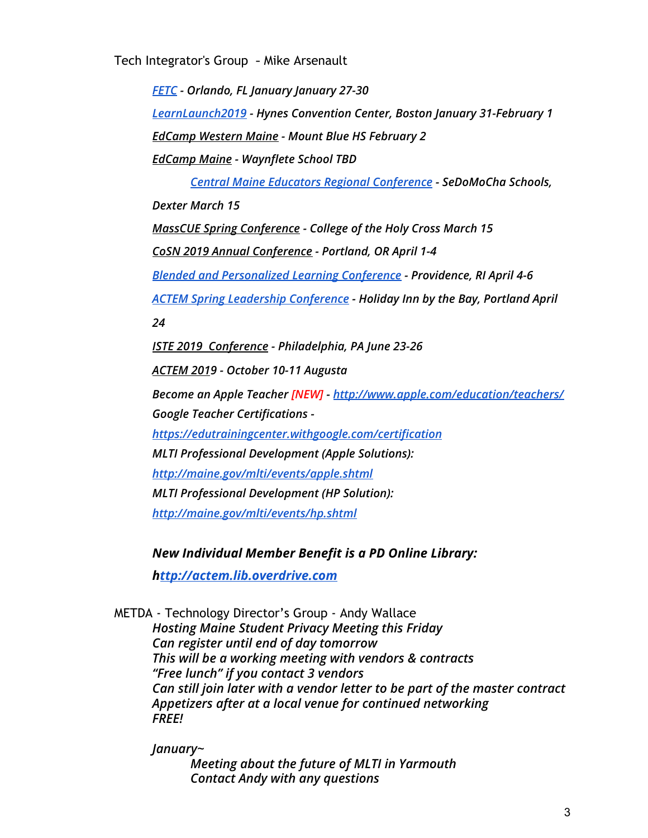Tech Integrator's Group - Mike Arsenault

*[FETC](http://www.fetc.org/) - Orlando, FL January January 27-30 [LearnLaunch2019](http://learnlaunch.org/2019conference/) - Hynes Convention Center, Boston January 31-February 1 [EdCamp](https://sites.google.com/a/rsu10.net/edcampwme/) Western Maine - Mount Blue HS February 2 [EdCamp](http://edcampmaine.org/) Maine - Waynflete School TBD*

*Central Maine Educators Regional [Conference](https://sites.google.com/a/sedomocha.org/cmerc/home) - SeDoMoCha Schools, Dexter March 15 MassCUE Spring [Conference](http://www.masscue.org/event/spring-conference-2019/) - College of the Holy Cross March 15*

*CoSN 2019 Annual [Conference](https://cosnconference.org/) - Portland, OR April 1-4*

*Blended and [Personalized](http://blendedlearningconference.com/) Learning Conference - Providence, RI April 4-6*

*ACTEM Spring Leadership [Conference](http://actem.org/) - Holiday Inn by the Bay, Portland April*

*24*

*ISTE 2019 [Conference](https://conference.iste.org/2018/) - Philadelphia, PA June 23-26*

*[ACTEM](http://actem.wildapricot.org/CONFERENCE) 2019 - October 10-11 Augusta*

*Become an Apple Teacher [NEW] - <http://www.apple.com/education/teachers/> Google Teacher Certifications [-](https://edutrainingcenter.withgoogle.com/certification)*

*<https://edutrainingcenter.withgoogle.com/certification> MLTI Professional Development (Apple Solutions): <http://maine.gov/mlti/events/apple.shtml> MLTI Professional Development (HP Solution): <http://maine.gov/mlti/events/hp.shtml>*

*New Individual Member Benefit is a PD Online Library:*

*h[ttp://actem.lib.overdrive.com](http://actem.lib.overdrive.com/)*

METDA - Technology Director's Group - Andy Wallace *Hosting Maine Student Privacy Meeting this Friday Can register until end of day tomorrow This will be a working meeting with vendors & contracts "Free lunch" if you contact 3 vendors Can still join later with a vendor letter to be part of the master contract Appetizers after at a local venue for continued networking FREE!*

*January~*

*Meeting about the future of MLTI in Yarmouth Contact Andy with any questions*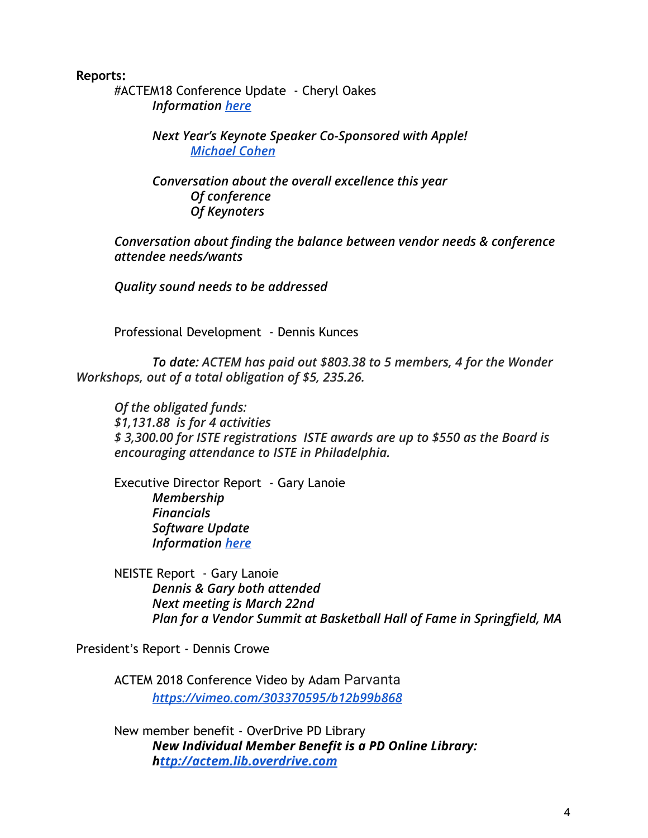**Reports:**

#ACTEM18 Conference Update - Cheryl Oakes *Information [here](https://docs.google.com/document/d/1H2bBPU3s_sxxeLI4pSsHG8cbJIlhhQIy-fAy7I2YARY/edit?usp=sharing)*

> *Next Year's Keynote Speaker Co-Sponsored with Apple! [Michael Cohen](https://thetechrabbi.com/)*

*Conversation about the overall excellence this year Of conference Of Keynoters*

*Conversation about finding the balance between vendor needs & conference attendee needs/wants*

*Quality sound needs to be addressed*

Professional Development - Dennis Kunces

*To date: ACTEM has paid out \$803.38 to 5 members, 4 for the Wonder Workshops, out of a total obligation of \$5, 235.26.*

*Of the obligated funds: \$1,131.88 is for 4 activities \$ 3,300.00 for ISTE registrations ISTE awards are up to \$550 as the Board is encouraging attendance to ISTE in Philadelphia.*

Executive Director Report - Gary Lanoie *Membership Financials Software Update Information [here](https://docs.google.com/document/d/1b_StbNt4eUzFLhYD2MKTfLQM-DTO9MnbWFulOpM66kM/edit?usp=sharing)*

NEISTE Report - Gary Lanoie *Dennis & Gary both attended Next meeting is March 22nd Plan for a Vendor Summit at Basketball Hall of Fame in Springfield, MA*

President's Report - Dennis Crowe

ACTEM 2018 Conference Video by Adam Parvanta *<https://vimeo.com/303370595/b12b99b868>*

New member benefit - OverDrive PD Library *New Individual Member Benefit is a PD Online Library: h[ttp://actem.lib.overdrive.com](http://actem.lib.overdrive.com/)*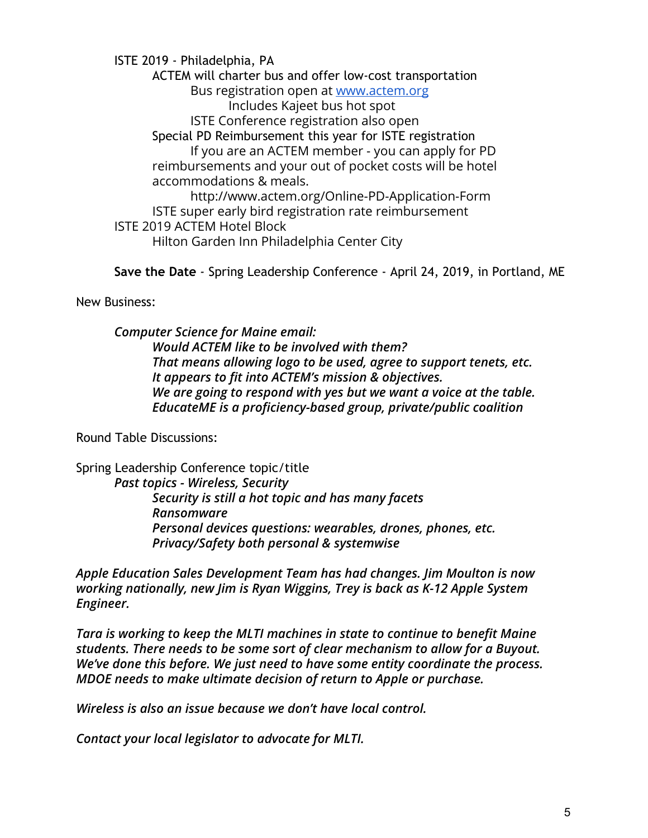ISTE 2019 - Philadelphia, PA ACTEM will charter bus and offer low-cost transportation Bus registration open at [www.actem.org](http://www.actem.org/) Includes Kajeet bus hot spot ISTE Conference registration also open Special PD Reimbursement this year for ISTE registration If you are an ACTEM member - you can apply for PD reimbursements and your out of pocket costs will be hotel accommodations & meals. http://www.actem.org/Online-PD-Application-Form ISTE super early bird registration rate reimbursement ISTE 2019 ACTEM Hotel Block Hilton Garden Inn Philadelphia Center City

**Save the Date** *-* Spring Leadership Conference - April 24, 2019, in Portland, ME

New Business:

*Computer Science for Maine email: Would ACTEM like to be involved with them? That means allowing logo to be used, agree to support tenets, etc. It appears to fit into ACTEM's mission & objectives. We are going to respond with yes but we want a voice at the table. EducateME is a proficiency-based group, private/public coalition*

Round Table Discussions:

Spring Leadership Conference topic/title *Past topics - Wireless, Security Security is still a hot topic and has many facets Ransomware Personal devices questions: wearables, drones, phones, etc. Privacy/Safety both personal & systemwise*

*Apple Education Sales Development Team has had changes. Jim Moulton is now working nationally, new Jim is Ryan Wiggins, Trey is back as K-12 Apple System Engineer.*

*Tara is working to keep the MLTI machines in state to continue to benefit Maine students. There needs to be some sort of clear mechanism to allow for a Buyout. We've done this before. We just need to have some entity coordinate the process. MDOE needs to make ultimate decision of return to Apple or purchase.*

*Wireless is also an issue because we don't have local control.*

*Contact your local legislator to advocate for MLTI.*